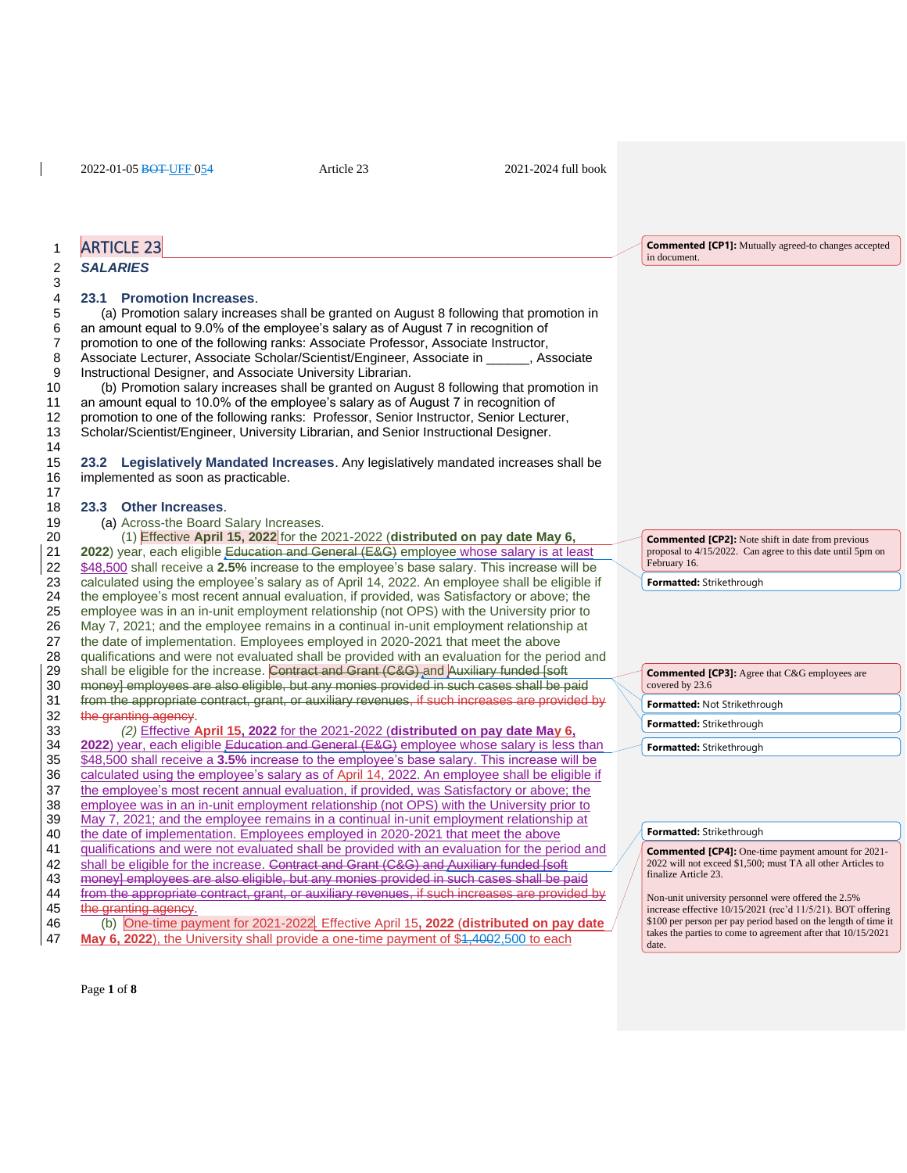# 1 ARTICLE 23

### 2 *SALARIES*

3

14

17

## 4 **23.1 Promotion Increases**.

 (a) Promotion salary increases shall be granted on August 8 following that promotion in an amount equal to 9.0% of the employee's salary as of August 7 in recognition of promotion to one of the following ranks: Associate Professor, Associate Instructor, Associate Lecturer, Associate Scholar/Scientist/Engineer, Associate in \_\_\_\_\_\_, Associate Instructional Designer, and Associate University Librarian.

 (b) Promotion salary increases shall be granted on August 8 following that promotion in an amount equal to 10.0% of the employee's salary as of August 7 in recognition of promotion to one of the following ranks: Professor, Senior Instructor, Senior Lecturer, Scholar/Scientist/Engineer, University Librarian, and Senior Instructional Designer.

15 **23.2 Legislatively Mandated Increases**. Any legislatively mandated increases shall be 16 implemented as soon as practicable.

#### 18 **23.3 Other Increases**.

19 (a) Across-the Board Salary Increases.

20 (1) Effective **April 15, 2022** for the 2021-2022 (**distributed on pay date May 6,**  2022) year, each eligible Education and General (E&G) employee whose salary is at least 22 \$48,500 shall receive a **2.5%** increase to the employee's base salary. This increase will be 23 calculated using the employee's salary as of April 14, 2022. An employee shall be eligible if 24 the employee's most recent annual evaluation, if provided, was Satisfactory or above: the 24 the employee's most recent annual evaluation, if provided, was Satisfactory or above; the 25 employee was in an in-unit employment relationship (not OPS) with the University prior to 26 May 7, 2021; and the employee remains in a continual in-unit employment relationship at 27 the date of implementation. Employees employed in 2020-2021 that meet the above 28 qualifications and were not evaluated shall be provided with an evaluation for the period and 29 shall be eligible for the increase. Contract and Grant (C&G) and Auxiliary funded [soft 30 money] employees are also eligible, but any monies provided in such cases shall be paid 31 from the appropriate contract, grant, or auxiliary revenues, if such increases are provided by<br>32 the granting ageney. the granting agency. 33 *(2)* Effective **April 15, 2022** for the 2021-2022 (**distributed on pay date May 6,**  34 **2022**) year, each eligible Education and General (E&G) employee whose salary is less than 35 \$48,500 shall receive a **3.5%** increase to the employee's base salary. This increase will be 36 calculated using the employee's salary as of April 14, 2022. An employee shall be eligible if<br>37 the employee's most recent annual evaluation, if provided, was Satisfactory or above; the the employee's most recent annual evaluation, if provided, was Satisfactory or above; the 38 employee was in an in-unit employment relationship (not OPS) with the University prior to 39 May 7, 2021; and the employee remains in a continual in-unit employment relationship at 40 the date of implementation. Employees employed in 2020-2021 that meet the above

the date of implementation. Employees employed in 2020-2021 that meet the above

- 41 qualifications and were not evaluated shall be provided with an evaluation for the period and
- 42 shall be eligible for the increase. Contract and Grant (C&G) and Auxiliary funded [soft]<br>43 moneyl employees are also eligible, but any monies provided in such cases shall be p money] employees are also eligible, but any monies provided in such cases shall be paid 44 from the appropriate contract, grant, or auxiliary revenues, if such increases are provided by the granting agency.
	- the granting agency.

46 (b) One-time payment for 2021-2022. Effective April 15**, 2022** (**distributed on pay date**  47 **May 6, 2022**), the University shall provide a one-time payment of \$1,4002,500 to each

**Commented [CP1]:** Mutually agreed-to changes accepted in document.

**Commented [CP2]:** Note shift in date from previous proposal to 4/15/2022. Can agree to this date until 5pm on February 16.

**Formatted:** Strikethrough

| <b>Commented [CP3]:</b> Agree that C&G employees are<br>covered by 23.6 |
|-------------------------------------------------------------------------|
| Formatted: Not Strikethrough                                            |
| Formatted: Strikethrough                                                |
| <b>Formatted: Strikethrough</b>                                         |

#### **Formatted:** Strikethrough

**Commented [CP4]:** One-time payment amount for 2021- 2022 will not exceed \$1,500; must TA all other Articles to finalize Article 23.

Non-unit university personnel were offered the 2.5% increase effective 10/15/2021 (rec'd 11/5/21). BOT offering \$100 per person per pay period based on the length of time it takes the parties to come to agreement after that 10/15/2021 date.

Page **1** of **8**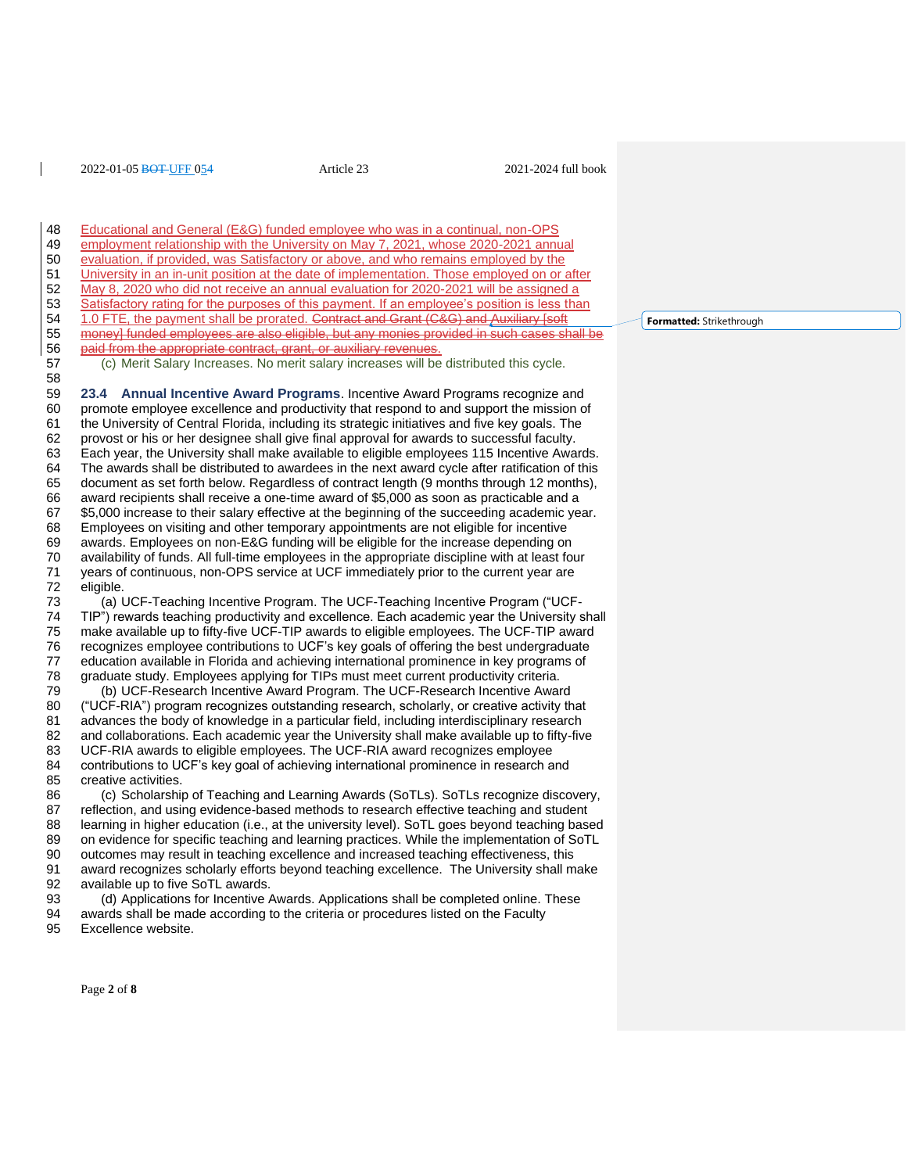48 Educational and General (E&G) funded employee who was in a continual, non-OPS<br>49 employment relationship with the University on May 7, 2021, whose 2020-2021 annu 49 employment relationship with the University on May 7, 2021, whose 2020-2021 annual<br>50 evaluation, if provided, was Satisfactory or above, and who remains employed by the evaluation, if provided, was Satisfactory or above, and who remains employed by the University in an in-unit position at the date of implementation. Those employed on or after May 8, 2020 who did not receive an annual evaluation for 2020-2021 will be assigned a 53 Satisfactory rating for the purposes of this payment. If an employee's position is less than<br>54 1.0 FTE, the payment shall be prorated. Contract and Grant (C&G) and Auxiliary [soft 1.0 FTE, the payment shall be prorated. Contract and Grant (C&G) and Auxiliary [soft]<br>55 money] funded employees are also eligible, but any monies provided in such cases sh money] funded employees are also eligible, but any monies provided in such cases shall be 56 paid from the appropriate contract, grant, or auxiliary revenues. (c) Merit Salary Increases. No merit salary increases will be distributed this cycle. **23.4 Annual Incentive Award Programs**. Incentive Award Programs recognize and promote employee excellence and productivity that respond to and support the mission of the University of Central Florida, including its strategic initiatives and five key goals. The provost or his or her designee shall give final approval for awards to successful faculty. Each year, the University shall make available to eligible employees 115 Incentive Awards. The awards shall be distributed to awardees in the next award cycle after ratification of this 65 document as set forth below. Regardless of contract length (9 months through 12 months),<br>66 award recipients shall receive a one-time award of \$5.000 as soon as practicable and a award recipients shall receive a one-time award of \$5,000 as soon as practicable and a \$5,000 increase to their salary effective at the beginning of the succeeding academic year. Employees on visiting and other temporary appointments are not eligible for incentive awards. Employees on non-E&G funding will be eligible for the increase depending on availability of funds. All full-time employees in the appropriate discipline with at least four years of continuous, non-OPS service at UCF immediately prior to the current year are eligible. (a) UCF-Teaching Incentive Program. The UCF-Teaching Incentive Program ("UCF- TIP") rewards teaching productivity and excellence. Each academic year the University shall make available up to fifty-five UCF-TIP awards to eligible employees. The UCF-TIP award 76 recognizes employee contributions to UCF's key goals of offering the best undergraduate<br>77 education available in Florida and achieving international prominence in key programs of education available in Florida and achieving international prominence in key programs of graduate study. Employees applying for TIPs must meet current productivity criteria. (b) UCF-Research Incentive Award Program. The UCF-Research Incentive Award ("UCF-RIA") program recognizes outstanding research, scholarly, or creative activity that advances the body of knowledge in a particular field, including interdisciplinary research and collaborations. Each academic year the University shall make available up to fifty-five UCF-RIA awards to eligible employees. The UCF-RIA award recognizes employee 84 contributions to UCF's key goal of achieving international prominence in research and<br>85 creative activities. creative activities. (c) Scholarship of Teaching and Learning Awards (SoTLs). SoTLs recognize discovery, reflection, and using evidence-based methods to research effective teaching and student learning in higher education (i.e., at the university level). SoTL goes beyond teaching based 89 on evidence for specific teaching and learning practices. While the implementation of SoTL<br>90 outcomes may result in teaching excellence and increased teaching effectiveness, this outcomes may result in teaching excellence and increased teaching effectiveness, this award recognizes scholarly efforts beyond teaching excellence. The University shall make available up to five SoTL awards.

 (d) Applications for Incentive Awards. Applications shall be completed online. These awards shall be made according to the criteria or procedures listed on the Faculty Excellence website.

**Formatted:** Strikethrough

Page **2** of **8**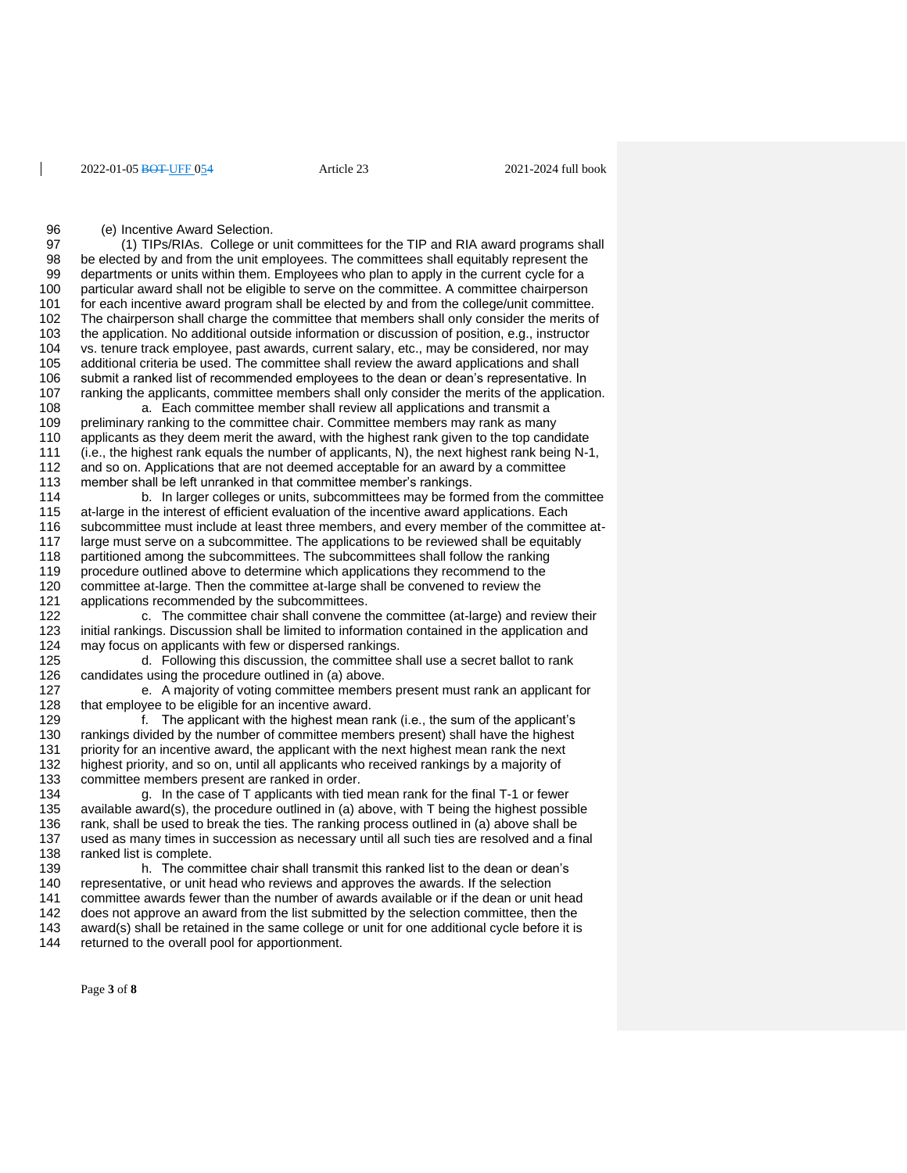96 (e) Incentive Award Selection.<br>97 (1) TIPs/RIAs College or u

97 (1) TIPs/RIAs. College or unit committees for the TIP and RIA award programs shall<br>98 be elected by and from the unit employees. The committees shall equitably represent the be elected by and from the unit employees. The committees shall equitably represent the departments or units within them. Employees who plan to apply in the current cycle for a particular award shall not be eligible to serve on the committee. A committee chairperson for each incentive award program shall be elected by and from the college/unit committee. The chairperson shall charge the committee that members shall only consider the merits of the application. No additional outside information or discussion of position, e.g., instructor vs. tenure track employee, past awards, current salary, etc., may be considered, nor may additional criteria be used. The committee shall review the award applications and shall submit a ranked list of recommended employees to the dean or dean's representative. In 107 ranking the applicants, committee members shall only consider the merits of the application.<br>108 a. Each committee member shall review all applications and transmit a a. Each committee member shall review all applications and transmit a

109 preliminary ranking to the committee chair. Committee members may rank as many<br>110 applicants as they deem merit the award, with the highest rank given to the top cand applicants as they deem merit the award, with the highest rank given to the top candidate 111 (i.e., the highest rank equals the number of applicants, N), the next highest rank being N-1, 112 and so on. Applications that are not deemed acceptable for an award by a committee 113 member shall be left unranked in that committee member's rankings. member shall be left unranked in that committee member's rankings.

 b. In larger colleges or units, subcommittees may be formed from the committee at-large in the interest of efficient evaluation of the incentive award applications. Each subcommittee must include at least three members, and every member of the committee at- large must serve on a subcommittee. The applications to be reviewed shall be equitably partitioned among the subcommittees. The subcommittees shall follow the ranking procedure outlined above to determine which applications they recommend to the 120 committee at-large. Then the committee at-large shall be convened to review the 121 applications recommended by the subcommittees. applications recommended by the subcommittees.

122 c. The committee chair shall convene the committee (at-large) and review their 123 initial rankings. Discussion shall be limited to information contained in the application and 124 may focus on applicants with few or dispersed rankings. may focus on applicants with few or dispersed rankings.

125 d. Following this discussion, the committee shall use a secret ballot to rank 126 candidates using the procedure outlined in (a) above.

127 e. A majority of voting committee members present must rank an applicant for 128 that employee to be eligible for an incentive award.<br>129 f. The applicant with the highest mean i

 $1.$  The applicant with the highest mean rank (i.e., the sum of the applicant's 130 rankings divided by the number of committee members present) shall have the highest 131 priority for an incentive award, the applicant with the next highest mean rank the next<br>132 highest priority, and so on, until all applicants who received rankings by a majority of highest priority, and so on, until all applicants who received rankings by a majority of 133 committee members present are ranked in order.

134 g. In the case of T applicants with tied mean rank for the final T-1 or fewer 135 available award(s), the procedure outlined in (a) above, with T being the highest possible 136 rank, shall be used to break the ties. The ranking process outlined in (a) above shall be 137 used as many times in succession as necessary until all such ties are resolved and a final 138 ranked list is complete. ranked list is complete.

 h. The committee chair shall transmit this ranked list to the dean or dean's representative, or unit head who reviews and approves the awards. If the selection committee awards fewer than the number of awards available or if the dean or unit head 142 does not approve an award from the list submitted by the selection committee, then the 143 award(s) shall be retained in the same college or unit for one additional cycle before it is award(s) shall be retained in the same college or unit for one additional cycle before it is returned to the overall pool for apportionment.

Page **3** of **8**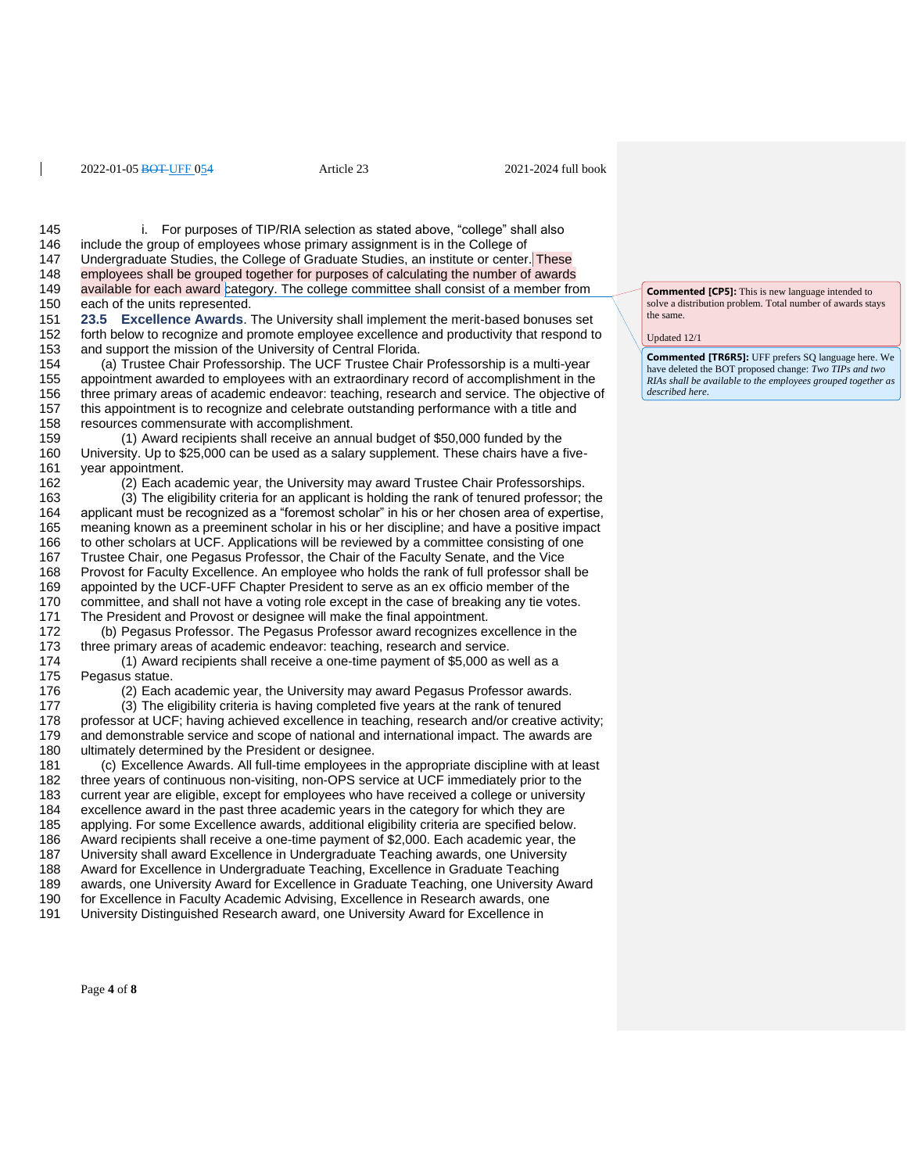145 i. For purposes of TIP/RIA selection as stated above, "college" shall also<br>146 include the group of employees whose primary assignment is in the College of 146 include the group of employees whose primary assignment is in the College of 147 Undergraduate Studies, the College of Graduate Studies. Undergraduate Studies, the College of Graduate Studies, an institute or center. These employees shall be grouped together for purposes of calculating the number of awards 149 available for each award category. The college committee shall consist of a member from each of the units represented. **23.5 Excellence Awards**. The University shall implement the merit-based bonuses set 152 forth below to recognize and promote employee excellence and productivity that respond to 153 and support the mission of the University of Central Florida. and support the mission of the University of Central Florida. (a) Trustee Chair Professorship. The UCF Trustee Chair Professorship is a multi-year appointment awarded to employees with an extraordinary record of accomplishment in the three primary areas of academic endeavor: teaching, research and service. The objective of 157 this appointment is to recognize and celebrate outstanding performance with a title and 158 resources commensurate with accomplishment. resources commensurate with accomplishment. (1) Award recipients shall receive an annual budget of \$50,000 funded by the University. Up to \$25,000 can be used as a salary supplement. These chairs have a five- year appointment. (2) Each academic year, the University may award Trustee Chair Professorships. (3) The eligibility criteria for an applicant is holding the rank of tenured professor; the applicant must be recognized as a "foremost scholar" in his or her chosen area of expertise, meaning known as a preeminent scholar in his or her discipline; and have a positive impact to other scholars at UCF. Applications will be reviewed by a committee consisting of one Trustee Chair, one Pegasus Professor, the Chair of the Faculty Senate, and the Vice Provost for Faculty Excellence. An employee who holds the rank of full professor shall be appointed by the UCF-UFF Chapter President to serve as an ex officio member of the committee, and shall not have a voting role except in the case of breaking any tie votes. The President and Provost or designee will make the final appointment. (b) Pegasus Professor. The Pegasus Professor award recognizes excellence in the 173 three primary areas of academic endeavor: teaching, research and service.<br>174 (1) Award recipients shall receive a one-time payment of \$5,000 as (1) Award recipients shall receive a one-time payment of  $$5,000$  as well as a Pegasus statue. (2) Each academic year, the University may award Pegasus Professor awards. (3) The eligibility criteria is having completed five years at the rank of tenured professor at UCF; having achieved excellence in teaching, research and/or creative activity; and demonstrable service and scope of national and international impact. The awards are ultimately determined by the President or designee. 181 (c) Excellence Awards. All full-time employees in the appropriate discipline with at least 182 three vears of continuous non-visiting. non-OPS service at UCF immediately prior to the three years of continuous non-visiting, non-OPS service at UCF immediately prior to the current year are eligible, except for employees who have received a college or university excellence award in the past three academic years in the category for which they are applying. For some Excellence awards, additional eligibility criteria are specified below. 186 Award recipients shall receive a one-time payment of \$2,000. Each academic year, the<br>187 University shall award Excellence in Undergraduate Teaching awards, one University University shall award Excellence in Undergraduate Teaching awards, one University Award for Excellence in Undergraduate Teaching, Excellence in Graduate Teaching awards, one University Award for Excellence in Graduate Teaching, one University Award for Excellence in Faculty Academic Advising, Excellence in Research awards, one University Distinguished Research award, one University Award for Excellence in

**Commented [CP5]:** This is new language intended to solve a distribution problem. Total number of awards stays the same.

Updated 12/1

**Commented [TR6R5]:** UFF prefers SQ language here. We have deleted the BOT proposed change: *Two TIPs and two RIAs shall be available to the employees grouped together as described here*.

Page **4** of **8**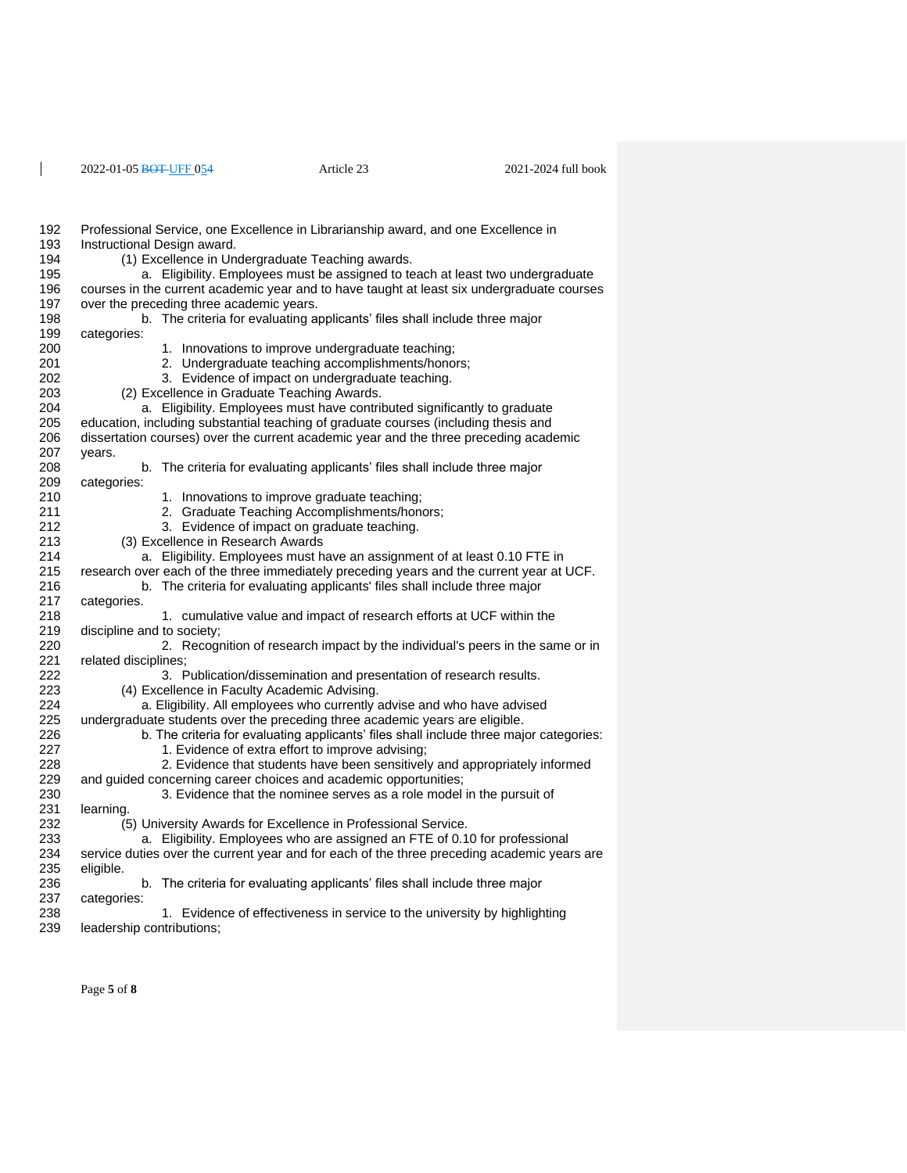$\overline{1}$ 

| 192 | Professional Service, one Excellence in Librarianship award, and one Excellence in          |
|-----|---------------------------------------------------------------------------------------------|
| 193 | Instructional Design award.                                                                 |
| 194 | (1) Excellence in Undergraduate Teaching awards.                                            |
| 195 | a. Eligibility. Employees must be assigned to teach at least two undergraduate              |
| 196 | courses in the current academic year and to have taught at least six undergraduate courses  |
| 197 | over the preceding three academic years.                                                    |
| 198 | b. The criteria for evaluating applicants' files shall include three major                  |
| 199 | categories:                                                                                 |
| 200 | 1. Innovations to improve undergraduate teaching;                                           |
| 201 | 2. Undergraduate teaching accomplishments/honors;                                           |
| 202 | 3. Evidence of impact on undergraduate teaching.                                            |
| 203 | (2) Excellence in Graduate Teaching Awards.                                                 |
| 204 | a. Eligibility. Employees must have contributed significantly to graduate                   |
| 205 | education, including substantial teaching of graduate courses (including thesis and         |
| 206 | dissertation courses) over the current academic year and the three preceding academic       |
| 207 | years.                                                                                      |
| 208 | b. The criteria for evaluating applicants' files shall include three major                  |
| 209 | categories:                                                                                 |
| 210 | 1. Innovations to improve graduate teaching;                                                |
| 211 | 2. Graduate Teaching Accomplishments/honors;                                                |
| 212 | 3. Evidence of impact on graduate teaching.                                                 |
| 213 | (3) Excellence in Research Awards                                                           |
| 214 | a. Eligibility. Employees must have an assignment of at least 0.10 FTE in                   |
| 215 | research over each of the three immediately preceding years and the current year at UCF.    |
| 216 | b. The criteria for evaluating applicants' files shall include three major                  |
| 217 | categories.                                                                                 |
| 218 | 1. cumulative value and impact of research efforts at UCF within the                        |
| 219 | discipline and to society;                                                                  |
| 220 | 2. Recognition of research impact by the individual's peers in the same or in               |
| 221 | related disciplines;                                                                        |
| 222 | 3. Publication/dissemination and presentation of research results.                          |
| 223 | (4) Excellence in Faculty Academic Advising.                                                |
| 224 | a. Eligibility. All employees who currently advise and who have advised                     |
| 225 | undergraduate students over the preceding three academic years are eligible.                |
| 226 | b. The criteria for evaluating applicants' files shall include three major categories:      |
| 227 | 1. Evidence of extra effort to improve advising;                                            |
| 228 | 2. Evidence that students have been sensitively and appropriately informed                  |
| 229 | and guided concerning career choices and academic opportunities;                            |
| 230 | 3. Evidence that the nominee serves as a role model in the pursuit of                       |
| 231 | learning.                                                                                   |
| 232 | (5) University Awards for Excellence in Professional Service.                               |
| 233 | a. Eligibility. Employees who are assigned an FTE of 0.10 for professional                  |
| 234 | service duties over the current year and for each of the three preceding academic years are |
| 235 | eligible.                                                                                   |
| 236 | b. The criteria for evaluating applicants' files shall include three major                  |
| 237 | categories:                                                                                 |
| 238 | 1. Evidence of effectiveness in service to the university by highlighting                   |
| 239 | leadership contributions;                                                                   |
|     |                                                                                             |

Page **5** of **8**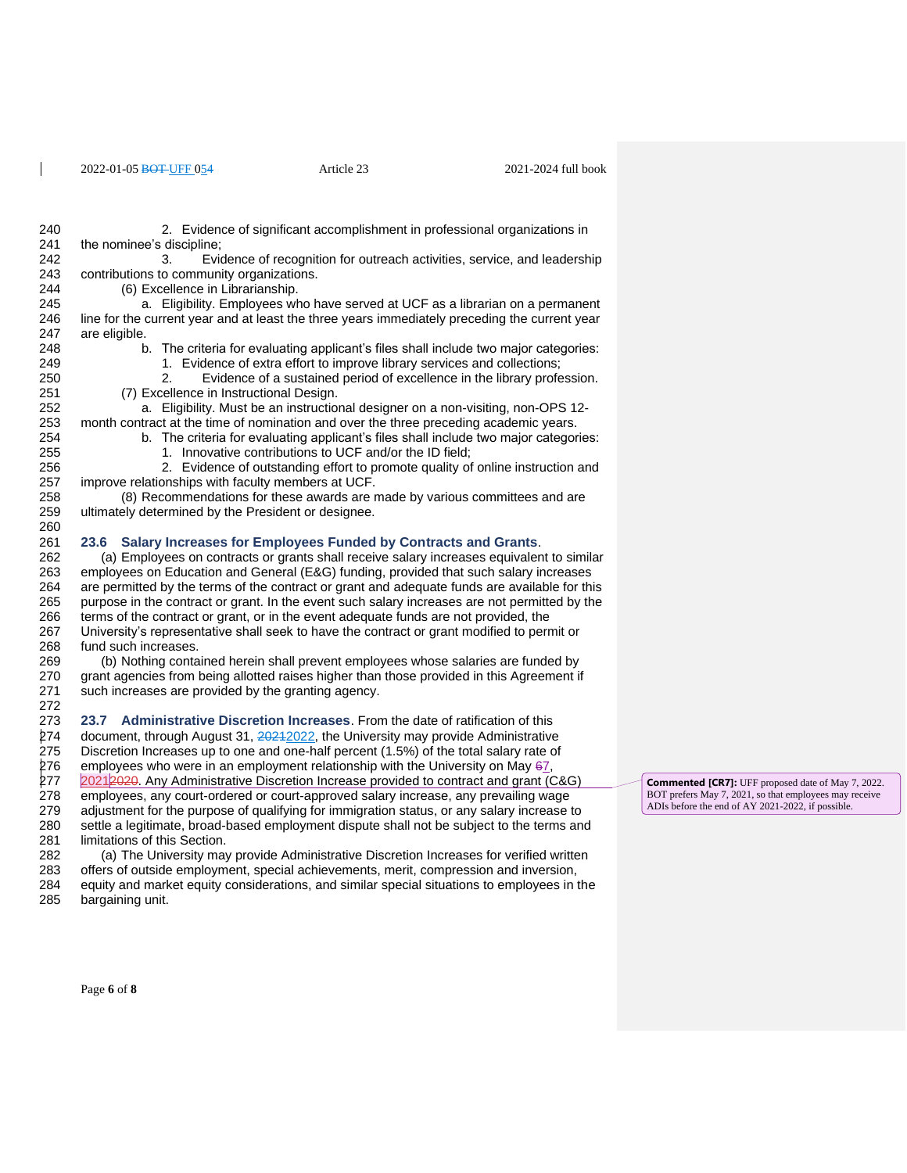2. Evidence of significant accomplishment in professional organizations in 241 the nominee's discipline;<br>242 3. 3. Evidence of recognition for outreach activities, service, and leadership contributions to community organizations. (6) Excellence in Librarianship. a. Eligibility. Employees who have served at UCF as a librarian on a permanent line for the current year and at least the three years immediately preceding the current year are eligible. b. The criteria for evaluating applicant's files shall include two major categories: 1. Evidence of extra effort to improve library services and collections; 2. Evidence of a sustained period of excellence in the library profession. 251 (7) Excellence in Instructional Design.<br>252 (a. Eligibility, Must be an instruction a. Eligibility. Must be an instructional designer on a non-visiting, non-OPS 12-253 month contract at the time of nomination and over the three preceding academic years.<br>254 b. The criteria for evaluating applicant's files shall include two major categor b. The criteria for evaluating applicant's files shall include two major categories: 255 1. Innovative contributions to UCF and/or the ID field; 256 256 2. Evidence of outstanding effort to promote quality of online instruction and<br>257 improve relationships with faculty members at UCF. improve relationships with faculty members at UCF. (8) Recommendations for these awards are made by various committees and are ultimately determined by the President or designee. **23.6 Salary Increases for Employees Funded by Contracts and Grants**. (a) Employees on contracts or grants shall receive salary increases equivalent to similar employees on Education and General (E&G) funding, provided that such salary increases are permitted by the terms of the contract or grant and adequate funds are available for this purpose in the contract or grant. In the event such salary increases are not permitted by the terms of the contract or grant, or in the event adequate funds are not provided, the University's representative shall seek to have the contract or grant modified to permit or 268 fund such increases.<br>269 (b) Nothing conta (b) Nothing contained herein shall prevent employees whose salaries are funded by grant agencies from being allotted raises higher than those provided in this Agreement if such increases are provided by the granting agency. **23.7 Administrative Discretion Increases**. From the date of ratification of this 274 document, through August 31, 2021 2022, the University may provide Administrative Discretion Increases up to one and one-half percent (1.5%) of the total salary rate of 276 employees who were in an employment relationship with the University on May , 277 2021 2020. Any Administrative Discretion Increase provided to contract and grant (C&G) employees, any court-ordered or court-approved salary increase, any prevailing wage adjustment for the purpose of qualifying for immigration status, or any salary increase to settle a legitimate, broad-based employment dispute shall not be subject to the terms and limitations of this Section. (a) The University may provide Administrative Discretion Increases for verified written offers of outside employment, special achievements, merit, compression and inversion, equity and market equity considerations, and similar special situations to employees in the bargaining unit.

Page **6** of **8**

**Commented [CR7]:** UFF proposed date of May 7, 2022. BOT prefers May 7, 2021, so that employees may receive ADIs before the end of AY 2021-2022, if possible.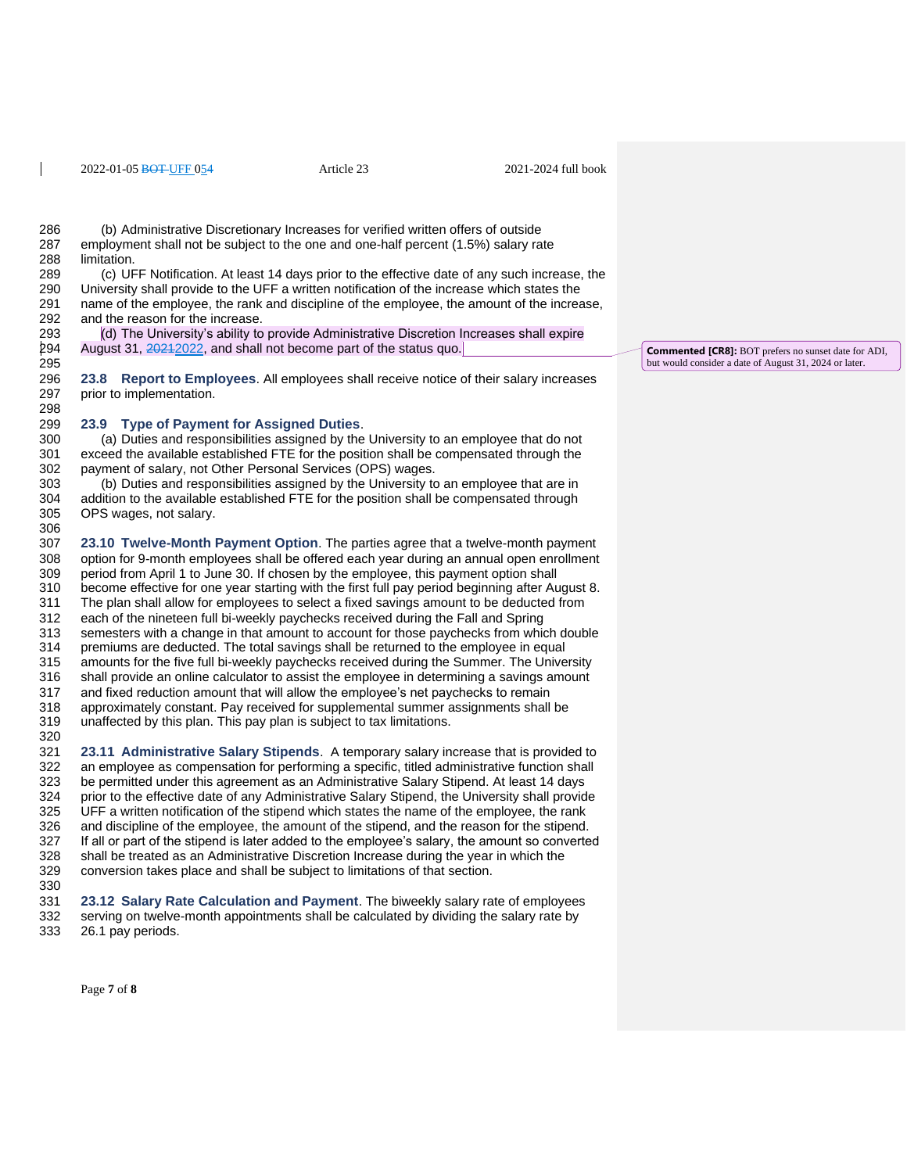286 (b) Administrative Discretionary Increases for verified written offers of outside<br>287 employment shall not be subiect to the one and one-half percent (1.5%) salary ra employment shall not be subject to the one and one-half percent (1.5%) salary rate limitation.

 (c) UFF Notification. At least 14 days prior to the effective date of any such increase, the University shall provide to the UFF a written notification of the increase which states the name of the employee, the rank and discipline of the employee, the amount of the increase, and the reason for the increase.

 (d) The University's ability to provide Administrative Discretion Increases shall expire 294 August 31, 2021 2022, and shall not become part of the status quo.

 **23.8 Report to Employees**. All employees shall receive notice of their salary increases prior to implementation. 

# **23.9 Type of Payment for Assigned Duties**.

(a) Duties and responsibilities assigned by the University to an employee that do not exceed the available established FTE for the position shall be compensated through the payment of salary, not Other Personal Services (OPS) wages.

 (b) Duties and responsibilities assigned by the University to an employee that are in addition to the available established FTE for the position shall be compensated through OPS wages, not salary.

 **23.10 Twelve-Month Payment Option**. The parties agree that a twelve-month payment option for 9-month employees shall be offered each year during an annual open enrollment period from April 1 to June 30. If chosen by the employee, this payment option shall become effective for one year starting with the first full pay period beginning after August 8. 311 The plan shall allow for employees to select a fixed savings amount to be deducted from<br>312 each of the nineteen full bi-weekly paychecks received during the Fall and Spring each of the nineteen full bi-weekly paychecks received during the Fall and Spring semesters with a change in that amount to account for those paychecks from which double 314 premiums are deducted. The total savings shall be returned to the employee in equal<br>315 amounts for the five full bi-weekly paychecks received during the Summer. The Unive amounts for the five full bi-weekly paychecks received during the Summer. The University 316 shall provide an online calculator to assist the employee in determining a savings amount 317 and fixed reduction amount that will allow the employee's net paychecks to remain and fixed reduction amount that will allow the employee's net paychecks to remain approximately constant. Pay received for supplemental summer assignments shall be unaffected by this plan. This pay plan is subject to tax limitations. 

 **23.11 Administrative Salary Stipends**. A temporary salary increase that is provided to an employee as compensation for performing a specific, titled administrative function shall be permitted under this agreement as an Administrative Salary Stipend. At least 14 days prior to the effective date of any Administrative Salary Stipend, the University shall provide UFF a written notification of the stipend which states the name of the employee, the rank and discipline of the employee, the amount of the stipend, and the reason for the stipend. If all or part of the stipend is later added to the employee's salary, the amount so converted shall be treated as an Administrative Discretion Increase during the year in which the conversion takes place and shall be subject to limitations of that section.

 **23.12 Salary Rate Calculation and Payment**. The biweekly salary rate of employees 332 serving on twelve-month appointments shall be calculated by dividing the salary rate by 333 26.1 pay periods. 26.1 pay periods.

Page **7** of **8**

**Commented [CR8]:** BOT prefers no sunset date for ADI, but would consider a date of August 31, 2024 or later.